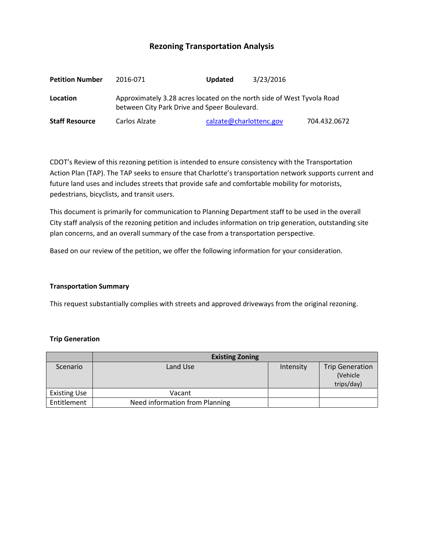# **Rezoning Transportation Analysis**

| <b>Petition Number</b> | 2016-071                                                                                                               | <b>Updated</b>          | 3/23/2016 |              |  |  |
|------------------------|------------------------------------------------------------------------------------------------------------------------|-------------------------|-----------|--------------|--|--|
| Location               | Approximately 3.28 acres located on the north side of West Tyvola Road<br>between City Park Drive and Speer Boulevard. |                         |           |              |  |  |
| <b>Staff Resource</b>  | Carlos Alzate                                                                                                          | calzate@charlottenc.gov |           | 704.432.0672 |  |  |

CDOT's Review of this rezoning petition is intended to ensure consistency with the Transportation Action Plan (TAP). The TAP seeks to ensure that Charlotte's transportation network supports current and future land uses and includes streets that provide safe and comfortable mobility for motorists, pedestrians, bicyclists, and transit users.

This document is primarily for communication to Planning Department staff to be used in the overall City staff analysis of the rezoning petition and includes information on trip generation, outstanding site plan concerns, and an overall summary of the case from a transportation perspective.

Based on our review of the petition, we offer the following information for your consideration.

#### **Transportation Summary**

This request substantially complies with streets and approved driveways from the original rezoning.

#### **Trip Generation**

|                     | <b>Existing Zoning</b>         |           |                                                  |  |  |
|---------------------|--------------------------------|-----------|--------------------------------------------------|--|--|
| Scenario            | Land Use                       | Intensity | <b>Trip Generation</b><br>(Vehicle<br>trips/day) |  |  |
| <b>Existing Use</b> | Vacant                         |           |                                                  |  |  |
| Entitlement         | Need information from Planning |           |                                                  |  |  |